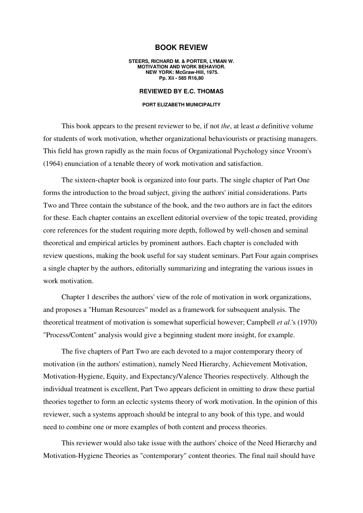## **BOOK REVIEW**

**STEERS, RICHARD M. & PORTER, LYMAN W. MOTIVATION AND WORK BEHAVIOR. NEW YORK: McGraw-Hill, 1975. Pp. Xii - 585 R16,80** 

## **REVIEWED BY E.C. THOMAS**

## **PORT ELIZABETH MUNICIPALITY**

This book appears to the present reviewer to be, if not *the*, at least *a* definitive volume for students of work motivation, whether organizational behaviourists or practising managers. This field has grown rapidly as the main focus of Organizational Psychology since Vroom's (1964) enunciation of a tenable theory of work motivation and satisfaction.

The sixteen-chapter book is organized into four parts. The single chapter of Part One forms the introduction to the broad subject, giving the authors' initial considerations. Parts Two and Three contain the substance of the book, and the two authors are in fact the editors for these. Each chapter contains an excellent editorial overview of the topic treated, providing core references for the student requiring more depth, followed by well-chosen and seminal theoretical and empirical articles by prominent authors. Each chapter is concluded with review questions, making the book useful for say student seminars. Part Four again comprises a single chapter by the authors, editorially summarizing and integrating the various issues in work motivation.

Chapter 1 describes the authors' view of the role of motivation in work organizations, and proposes a "Human Resources" model as a framework for subsequent analysis. The theoretical treatment of motivation is somewhat superficial however; Campbell *et al*.'s (1970) "Process/Content" analysis would give a beginning student more insight, for example.

The five chapters of Part Two are each devoted to a major contemporary theory of motivation (in the authors' estimation), namely Need Hierarchy, Achievement Motivation, Motivation-Hygiene, Equity, and Expectancy/Valence Theories respectively. Although the individual treatment is excellent, Part Two appears deficient in omitting to draw these partial theories together to form an eclectic systems theory of work motivation. In the opinion of this reviewer, such a systems approach should be integral to any book of this type, and would need to combine one or more examples of both content and process theories.

This reviewer would also take issue with the authors' choice of the Need Hierarchy and Motivation-Hygiene Theories as "contemporary" content theories. The final nail should have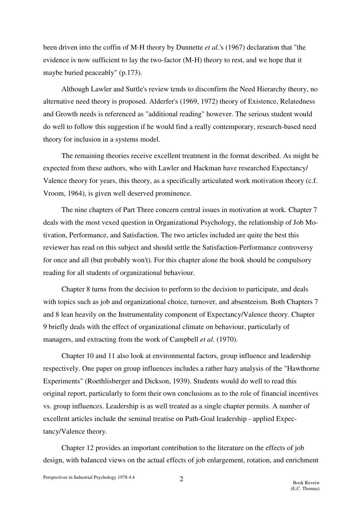been driven into the coffin of M-H theory by Dunnette *et al.*'s (1967) declaration that "the evidence is now sufficient to lay the two-factor (M-H) theory to rest, and we hope that it maybe buried peaceably" (p.173).

Although Lawler and Suttle's review tends to disconfirm the Need Hierarchy theory, no alternative need theory is proposed. Alderfer's (1969, 1972) theory of Existence, Relatedness and Growth needs is referenced as "additional reading" however. The serious student would do well to follow this suggestion if he would find a really contemporary, research-based need theory for inclusion in a systems model.

The remaining theories receive excellent treatment in the format described. As might be expected from these authors, who with Lawler and Hackman have researched Expectancy/ Valence theory for years, this theory, as a specifically articulated work motivation theory (c.f. Vroom, 1964), is given well deserved prominence.

The nine chapters of Part Three concern central issues in motivation at work. Chapter 7 deals with the most vexed question in Organizational Psychology, the relationship of Job Motivation, Performance, and Satisfaction. The two articles included are quite the best this reviewer has read on this subject and should settle the Satisfaction-Performance controversy for once and all (but probably won't). For this chapter alone the book should be compulsory reading for all students of organizational behaviour.

Chapter 8 turns from the decision to perform to the decision to participate, and deals with topics such as job and organizational choice, turnover, and absenteeism. Both Chapters 7 and 8 lean heavily on the Instrumentality component of Expectancy/Valence theory. Chapter 9 briefly deals with the effect of organizational climate on behaviour, particularly of managers, and extracting from the work of Campbell *et al*. (1970).

Chapter 10 and 11 also look at environmental factors, group influence and leadership respectively. One paper on group influences includes a rather hazy analysis of the "Hawthorne Experiments" (Roethlisberger and Dickson, 1939). Students would do well to read this original report, particularly to form their own conclusions as to the role of financial incentives vs. group influences. Leadership is as well treated as a single chapter permits. A number of excellent articles include the seminal treatise on Path-Goal leadership - applied Expectancy/Valence theory.

Chapter 12 provides an important contribution to the literature on the effects of job design, with balanced views on the actual effects of job enlargement, rotation, and enrichment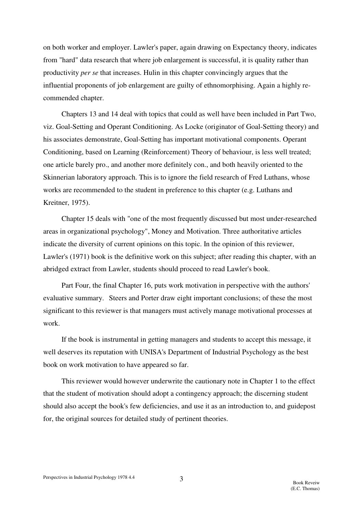on both worker and employer. Lawler's paper, again drawing on Expectancy theory, indicates from "hard" data research that where job enlargement is successful, it is quality rather than productivity *per se* that increases. Hulin in this chapter convincingly argues that the influential proponents of job enlargement are guilty of ethnomorphising. Again a highly recommended chapter.

Chapters 13 and 14 deal with topics that could as well have been included in Part Two, viz. Goal-Setting and Operant Conditioning. As Locke (originator of Goal-Setting theory) and his associates demonstrate, Goal-Setting has important motivational components. Operant Conditioning, based on Learning (Reinforcement) Theory of behaviour, is less well treated; one article barely pro., and another more definitely con., and both heavily oriented to the Skinnerian laboratory approach. This is to ignore the field research of Fred Luthans, whose works are recommended to the student in preference to this chapter (e.g. Luthans and Kreitner, 1975).

Chapter 15 deals with "one of the most frequently discussed but most under-researched areas in organizational psychology", Money and Motivation. Three authoritative articles indicate the diversity of current opinions on this topic. In the opinion of this reviewer, Lawler's (1971) book is the definitive work on this subject; after reading this chapter, with an abridged extract from Lawler, students should proceed to read Lawler's book.

Part Four, the final Chapter 16, puts work motivation in perspective with the authors' evaluative summary. Steers and Porter draw eight important conclusions; of these the most significant to this reviewer is that managers must actively manage motivational processes at work.

If the book is instrumental in getting managers and students to accept this message, it well deserves its reputation with UNISA's Department of Industrial Psychology as the best book on work motivation to have appeared so far.

This reviewer would however underwrite the cautionary note in Chapter 1 to the effect that the student of motivation should adopt a contingency approach; the discerning student should also accept the book's few deficiencies, and use it as an introduction to, and guidepost for, the original sources for detailed study of pertinent theories.